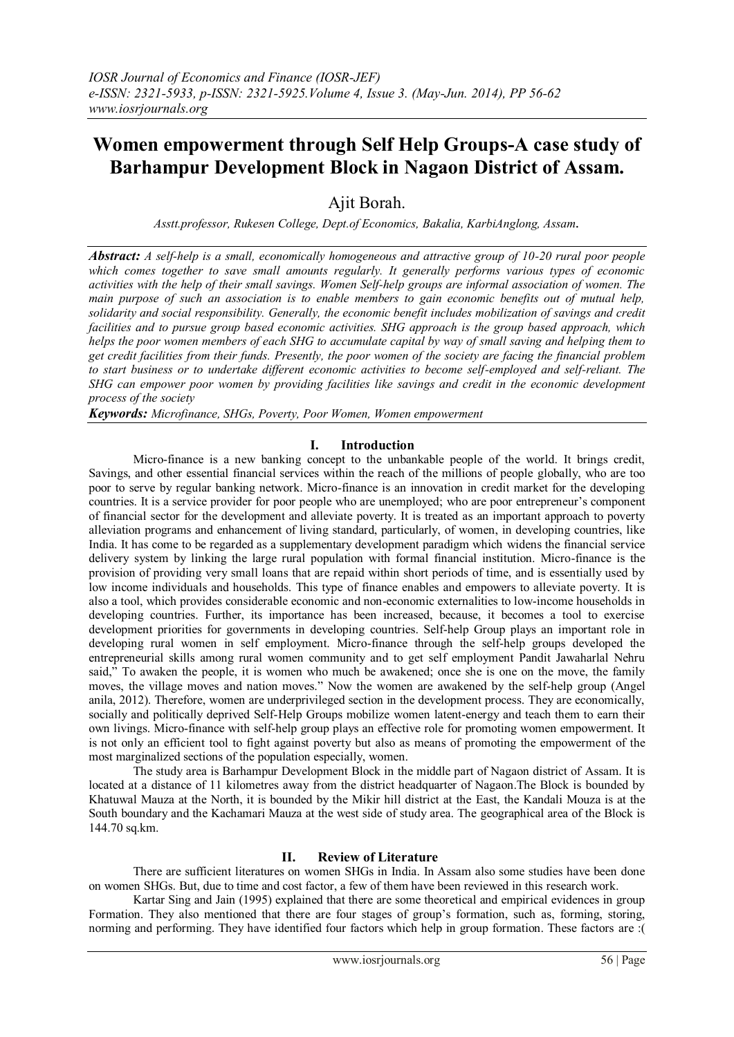# **Women empowerment through Self Help Groups-A case study of Barhampur Development Block in Nagaon District of Assam.**

Ajit Borah.

*Asstt.professor, Rukesen College, Dept.of Economics, Bakalia, KarbiAnglong, Assam.*

*Abstract: A self-help is a small, economically homogeneous and attractive group of 10-20 rural poor people which comes together to save small amounts regularly. It generally performs various types of economic activities with the help of their small savings. Women Self-help groups are informal association of women. The main purpose of such an association is to enable members to gain economic benefits out of mutual help, solidarity and social responsibility. Generally, the economic benefit includes mobilization of savings and credit facilities and to pursue group based economic activities. SHG approach is the group based approach, which helps the poor women members of each SHG to accumulate capital by way of small saving and helping them to get credit facilities from their funds. Presently, the poor women of the society are facing the financial problem to start business or to undertake different economic activities to become self-employed and self-reliant. The SHG can empower poor women by providing facilities like savings and credit in the economic development process of the society*

*Keywords: Microfinance, SHGs, Poverty, Poor Women, Women empowerment*

# **I. Introduction**

Micro-finance is a new banking concept to the unbankable people of the world. It brings credit, Savings, and other essential financial services within the reach of the millions of people globally, who are too poor to serve by regular banking network. Micro-finance is an innovation in credit market for the developing countries. It is a service provider for poor people who are unemployed; who are poor entrepreneur's component of financial sector for the development and alleviate poverty. It is treated as an important approach to poverty alleviation programs and enhancement of living standard, particularly, of women, in developing countries, like India. It has come to be regarded as a supplementary development paradigm which widens the financial service delivery system by linking the large rural population with formal financial institution. Micro-finance is the provision of providing very small loans that are repaid within short periods of time, and is essentially used by low income individuals and households. This type of finance enables and empowers to alleviate poverty. It is also a tool, which provides considerable economic and non-economic externalities to low-income households in developing countries. Further, its importance has been increased, because, it becomes a tool to exercise development priorities for governments in developing countries. Self-help Group plays an important role in developing rural women in self employment. Micro-finance through the self-help groups developed the entrepreneurial skills among rural women community and to get self employment Pandit Jawaharlal Nehru said," To awaken the people, it is women who much be awakened; once she is one on the move, the family moves, the village moves and nation moves." Now the women are awakened by the self-help group (Angel anila, 2012). Therefore, women are underprivileged section in the development process. They are economically, socially and politically deprived Self-Help Groups mobilize women latent-energy and teach them to earn their own livings. Micro-finance with self-help group plays an effective role for promoting women empowerment. It is not only an efficient tool to fight against poverty but also as means of promoting the empowerment of the most marginalized sections of the population especially, women.

The study area is Barhampur Development Block in the middle part of Nagaon district of Assam. It is located at a distance of 11 kilometres away from the district headquarter of Nagaon.The Block is bounded by Khatuwal Mauza at the North, it is bounded by the Mikir hill district at the East, the Kandali Mouza is at the South boundary and the Kachamari Mauza at the west side of study area. The geographical area of the Block is 144.70 sq.km.

# **II. Review of Literature**

There are sufficient literatures on women SHGs in India. In Assam also some studies have been done on women SHGs. But, due to time and cost factor, a few of them have been reviewed in this research work.

Kartar Sing and Jain (1995) explained that there are some theoretical and empirical evidences in group Formation. They also mentioned that there are four stages of group's formation, such as, forming, storing, norming and performing. They have identified four factors which help in group formation. These factors are :(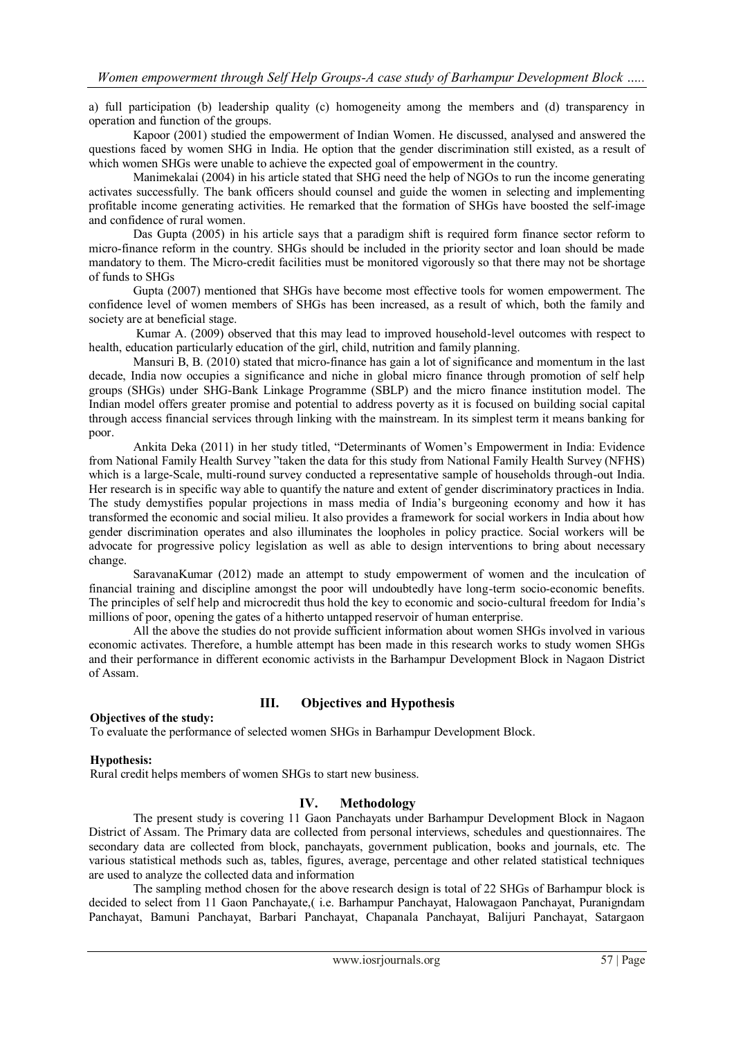a) full participation (b) leadership quality (c) homogeneity among the members and (d) transparency in operation and function of the groups.

Kapoor (2001) studied the empowerment of Indian Women. He discussed, analysed and answered the questions faced by women SHG in India. He option that the gender discrimination still existed, as a result of which women SHGs were unable to achieve the expected goal of empowerment in the country.

Manimekalai (2004) in his article stated that SHG need the help of NGOs to run the income generating activates successfully. The bank officers should counsel and guide the women in selecting and implementing profitable income generating activities. He remarked that the formation of SHGs have boosted the self-image and confidence of rural women.

Das Gupta (2005) in his article says that a paradigm shift is required form finance sector reform to micro-finance reform in the country. SHGs should be included in the priority sector and loan should be made mandatory to them. The Micro-credit facilities must be monitored vigorously so that there may not be shortage of funds to SHGs

Gupta (2007) mentioned that SHGs have become most effective tools for women empowerment. The confidence level of women members of SHGs has been increased, as a result of which, both the family and society are at beneficial stage.

Kumar A. (2009) observed that this may lead to improved household-level outcomes with respect to health, education particularly education of the girl, child, nutrition and family planning.

Mansuri B, B. (2010) stated that micro-finance has gain a lot of significance and momentum in the last decade, India now occupies a significance and niche in global micro finance through promotion of self help groups (SHGs) under SHG-Bank Linkage Programme (SBLP) and the micro finance institution model. The Indian model offers greater promise and potential to address poverty as it is focused on building social capital through access financial services through linking with the mainstream. In its simplest term it means banking for poor.

Ankita Deka (2011) in her study titled, "Determinants of Women's Empowerment in India: Evidence from National Family Health Survey "taken the data for this study from National Family Health Survey (NFHS) which is a large-Scale, multi-round survey conducted a representative sample of households through-out India. Her research is in specific way able to quantify the nature and extent of gender discriminatory practices in India. The study demystifies popular projections in mass media of India's burgeoning economy and how it has transformed the economic and social milieu. It also provides a framework for social workers in India about how gender discrimination operates and also illuminates the loopholes in policy practice. Social workers will be advocate for progressive policy legislation as well as able to design interventions to bring about necessary change.

SaravanaKumar (2012) made an attempt to study empowerment of women and the inculcation of financial training and discipline amongst the poor will undoubtedly have long-term socio-economic benefits. The principles of self help and microcredit thus hold the key to economic and socio-cultural freedom for India's millions of poor, opening the gates of a hitherto untapped reservoir of human enterprise.

All the above the studies do not provide sufficient information about women SHGs involved in various economic activates. Therefore, a humble attempt has been made in this research works to study women SHGs and their performance in different economic activists in the Barhampur Development Block in Nagaon District of Assam.

# **Objectives of the study:**

# **III. Objectives and Hypothesis**

To evaluate the performance of selected women SHGs in Barhampur Development Block.

## **Hypothesis:**

Rural credit helps members of women SHGs to start new business.

# **IV. Methodology**

The present study is covering 11 Gaon Panchayats under Barhampur Development Block in Nagaon District of Assam. The Primary data are collected from personal interviews, schedules and questionnaires. The secondary data are collected from block, panchayats, government publication, books and journals, etc. The various statistical methods such as, tables, figures, average, percentage and other related statistical techniques are used to analyze the collected data and information

The sampling method chosen for the above research design is total of 22 SHGs of Barhampur block is decided to select from 11 Gaon Panchayate,( i.e. Barhampur Panchayat, Halowagaon Panchayat, Puranigndam Panchayat, Bamuni Panchayat, Barbari Panchayat, Chapanala Panchayat, Balijuri Panchayat, Satargaon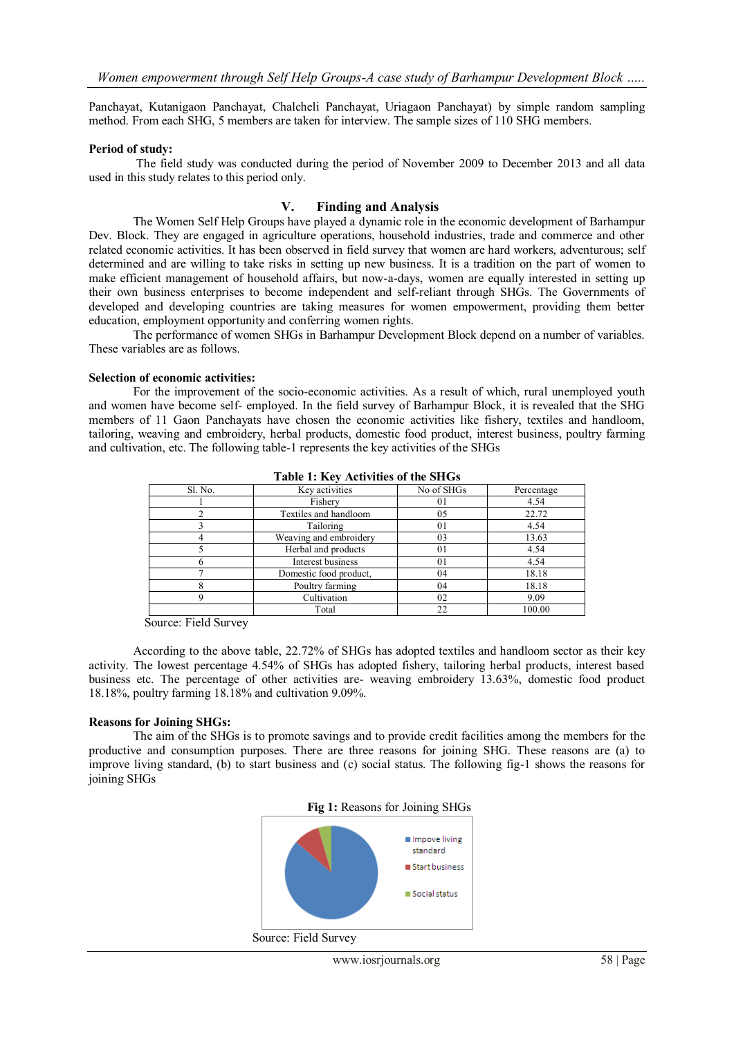Panchayat, Kutanigaon Panchayat, Chalcheli Panchayat, Uriagaon Panchayat) by simple random sampling method. From each SHG, 5 members are taken for interview. The sample sizes of 110 SHG members.

#### **Period of study:**

The field study was conducted during the period of November 2009 to December 2013 and all data used in this study relates to this period only.

## **V. Finding and Analysis**

The Women Self Help Groups have played a dynamic role in the economic development of Barhampur Dev. Block. They are engaged in agriculture operations, household industries, trade and commerce and other related economic activities. It has been observed in field survey that women are hard workers, adventurous; self determined and are willing to take risks in setting up new business. It is a tradition on the part of women to make efficient management of household affairs, but now-a-days, women are equally interested in setting up their own business enterprises to become independent and self-reliant through SHGs. The Governments of developed and developing countries are taking measures for women empowerment, providing them better education, employment opportunity and conferring women rights.

The performance of women SHGs in Barhampur Development Block depend on a number of variables. These variables are as follows.

#### **Selection of economic activities:**

For the improvement of the socio-economic activities. As a result of which, rural unemployed youth and women have become self- employed. In the field survey of Barhampur Block, it is revealed that the SHG members of 11 Gaon Panchayats have chosen the economic activities like fishery, textiles and handloom, tailoring, weaving and embroidery, herbal products, domestic food product, interest business, poultry farming and cultivation, etc. The following table-1 represents the key activities of the SHGs

| Sl. No. | Key activities         | No of SHGs | Percentage |
|---------|------------------------|------------|------------|
|         | Fishery                | 01         | 4.54       |
|         | Textiles and handloom  | 05         | 22.72      |
|         | Tailoring              | 01         | 4.54       |
|         | Weaving and embroidery | 03         | 13.63      |
|         | Herbal and products    | 01         | 4.54       |
|         | Interest business      | 01         | 4.54       |
|         | Domestic food product, | 04         | 18.18      |
|         | Poultry farming        | 04         | 18.18      |
|         | Cultivation            | 02         | 9.09       |
|         | Total                  | 22         | 100.00     |

**Table 1: Key Activities of the SHGs**

Source: Field Survey

According to the above table, 22.72% of SHGs has adopted textiles and handloom sector as their key activity. The lowest percentage 4.54% of SHGs has adopted fishery, tailoring herbal products, interest based business etc. The percentage of other activities are- weaving embroidery 13.63%, domestic food product 18.18%, poultry farming 18.18% and cultivation 9.09%.

## **Reasons for Joining SHGs:**

The aim of the SHGs is to promote savings and to provide credit facilities among the members for the productive and consumption purposes. There are three reasons for joining SHG. These reasons are (a) to improve living standard, (b) to start business and (c) social status. The following fig-1 shows the reasons for joining SHGs





Source: Field Survey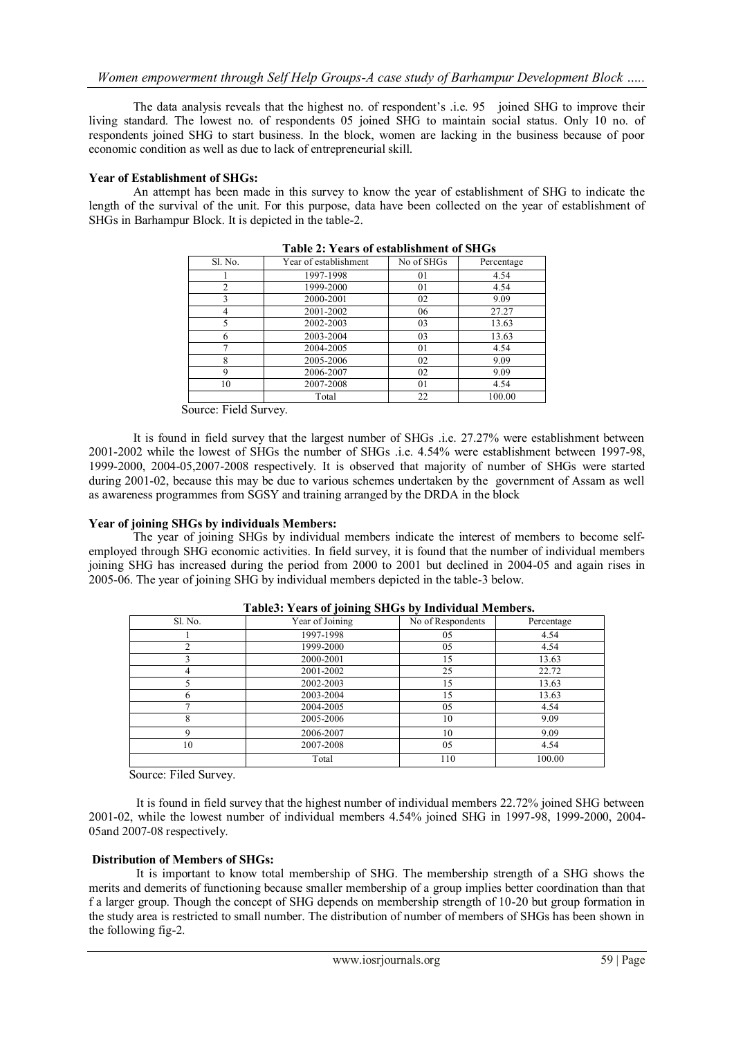The data analysis reveals that the highest no. of respondent's .i.e. 95 joined SHG to improve their living standard. The lowest no. of respondents 05 joined SHG to maintain social status. Only 10 no. of respondents joined SHG to start business. In the block, women are lacking in the business because of poor economic condition as well as due to lack of entrepreneurial skill.

## **Year of Establishment of SHGs:**

An attempt has been made in this survey to know the year of establishment of SHG to indicate the length of the survival of the unit. For this purpose, data have been collected on the year of establishment of SHGs in Barhampur Block. It is depicted in the table-2.

| Tabit 2. Teals of csiabhshiileht of SHQs |                       |                |            |
|------------------------------------------|-----------------------|----------------|------------|
| Sl. No.                                  | Year of establishment | No of SHGs     | Percentage |
|                                          | 1997-1998             | 01             | 4.54       |
| 2                                        | 1999-2000             | 0 <sub>1</sub> | 4.54       |
| 3                                        | 2000-2001             | 02             | 9.09       |
| 4                                        | 2001-2002             | 06             | 27.27      |
| 5                                        | 2002-2003             | 03             | 13.63      |
|                                          | 2003-2004             | 03             | 13.63      |
|                                          | 2004-2005             | 0 <sub>1</sub> | 4.54       |
| 8                                        | 2005-2006             | 02             | 9.09       |
| 9                                        | 2006-2007             | 02             | 9.09       |
| 10                                       | 2007-2008             | 0 <sub>1</sub> | 4.54       |
|                                          | Total                 | 22             | 100.00     |

**Table 2: Years of establishment of SHGs**

Source: Field Survey.

It is found in field survey that the largest number of SHGs .i.e. 27.27% were establishment between 2001-2002 while the lowest of SHGs the number of SHGs .i.e. 4.54% were establishment between 1997-98, 1999-2000, 2004-05,2007-2008 respectively. It is observed that majority of number of SHGs were started during 2001-02, because this may be due to various schemes undertaken by the government of Assam as well as awareness programmes from SGSY and training arranged by the DRDA in the block

## **Year of joining SHGs by individuals Members:**

The year of joining SHGs by individual members indicate the interest of members to become selfemployed through SHG economic activities. In field survey, it is found that the number of individual members joining SHG has increased during the period from 2000 to 2001 but declined in 2004-05 and again rises in 2005-06. The year of joining SHG by individual members depicted in the table-3 below.

| Sl. No. | Year of Joining | No of Respondents | Percentage |
|---------|-----------------|-------------------|------------|
|         | 1997-1998       | 05                | 4.54       |
|         | 1999-2000       | 05                | 4.54       |
|         | 2000-2001       | 15                | 13.63      |
| 4       | 2001-2002       | 25                | 22.72      |
|         | 2002-2003       | 15                | 13.63      |
| h       | 2003-2004       | 15                | 13.63      |
|         | 2004-2005       | 05                | 4.54       |
| 8       | 2005-2006       | 10                | 9.09       |
| a       | 2006-2007       | 10                | 9.09       |
| 10      | 2007-2008       | 05                | 4.54       |
|         | Total           | 110               | 100.00     |

**Table3: Years of joining SHGs by Individual Members.**

Source: Filed Survey.

It is found in field survey that the highest number of individual members 22.72% joined SHG between 2001-02, while the lowest number of individual members 4.54% joined SHG in 1997-98, 1999-2000, 2004- 05and 2007-08 respectively.

# **Distribution of Members of SHGs:**

It is important to know total membership of SHG. The membership strength of a SHG shows the merits and demerits of functioning because smaller membership of a group implies better coordination than that f a larger group. Though the concept of SHG depends on membership strength of 10-20 but group formation in the study area is restricted to small number. The distribution of number of members of SHGs has been shown in the following fig-2.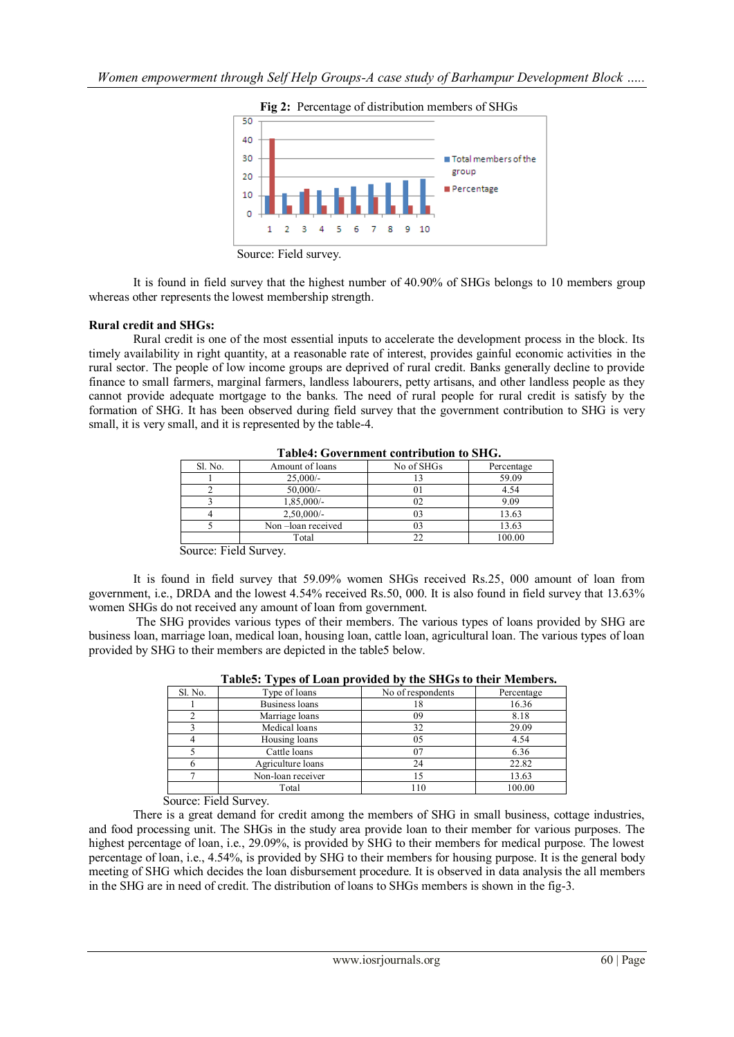



Source: Field survey.

It is found in field survey that the highest number of 40.90% of SHGs belongs to 10 members group whereas other represents the lowest membership strength.

## **Rural credit and SHGs:**

Rural credit is one of the most essential inputs to accelerate the development process in the block. Its timely availability in right quantity, at a reasonable rate of interest, provides gainful economic activities in the rural sector. The people of low income groups are deprived of rural credit. Banks generally decline to provide finance to small farmers, marginal farmers, landless labourers, petty artisans, and other landless people as they cannot provide adequate mortgage to the banks. The need of rural people for rural credit is satisfy by the formation of SHG. It has been observed during field survey that the government contribution to SHG is very small, it is very small, and it is represented by the table-4.

| Table4. Government contribution to SHG. |                   |            |            |
|-----------------------------------------|-------------------|------------|------------|
| Sl. No.                                 | Amount of loans   | No of SHGs | Percentage |
|                                         | $25,000/-$        |            | 59.09      |
|                                         | $50,000/-$        |            | 4.54       |
|                                         | 1,85,000/-        |            | 9.09       |
|                                         | $2,50,000/$ -     |            | 13.63      |
|                                         | Non-loan received |            | 13.63      |
|                                         | Total             |            | 100.00     |

**Table4: Government contribution to SHG.**

Source: Field Survey.

It is found in field survey that 59.09% women SHGs received Rs.25, 000 amount of loan from government, i.e., DRDA and the lowest 4.54% received Rs.50, 000. It is also found in field survey that 13.63% women SHGs do not received any amount of loan from government.

The SHG provides various types of their members. The various types of loans provided by SHG are business loan, marriage loan, medical loan, housing loan, cattle loan, agricultural loan. The various types of loan provided by SHG to their members are depicted in the table5 below.

| Tables: Types of Loan provided by the SHGs to their members. |                   |                   |            |  |
|--------------------------------------------------------------|-------------------|-------------------|------------|--|
| Sl. No.                                                      | Type of loans     | No of respondents | Percentage |  |
|                                                              | Business loans    | 18                | 16.36      |  |
|                                                              | Marriage loans    | 09                | 8.18       |  |
|                                                              | Medical loans     | 32                | 29.09      |  |
|                                                              | Housing loans     | 05                | 4.54       |  |
|                                                              | Cattle loans      | 07                | 6.36       |  |
|                                                              | Agriculture loans | 24                | 22.82      |  |
|                                                              | Non-loan receiver | 15                | 13.63      |  |
|                                                              | Total             | 110               | 100.00     |  |

**Table5: Types of Loan provided by the SHGs to their Members.**

Source: Field Survey.

There is a great demand for credit among the members of SHG in small business, cottage industries, and food processing unit. The SHGs in the study area provide loan to their member for various purposes. The highest percentage of loan, i.e., 29.09%, is provided by SHG to their members for medical purpose. The lowest percentage of loan, i.e., 4.54%, is provided by SHG to their members for housing purpose. It is the general body meeting of SHG which decides the loan disbursement procedure. It is observed in data analysis the all members in the SHG are in need of credit. The distribution of loans to SHGs members is shown in the fig-3.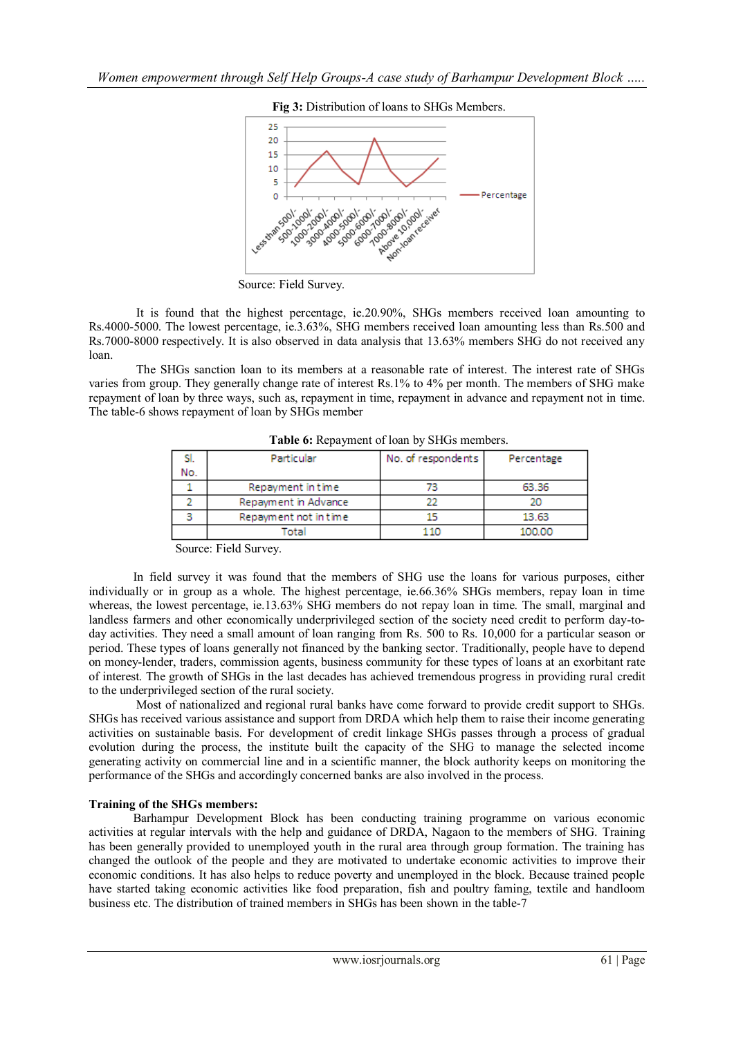

**Fig 3:** Distribution of loans to SHGs Members.

Source: Field Survey.

It is found that the highest percentage, ie.20.90%, SHGs members received loan amounting to Rs.4000-5000. The lowest percentage, ie.3.63%, SHG members received loan amounting less than Rs.500 and Rs.7000-8000 respectively. It is also observed in data analysis that 13.63% members SHG do not received any loan.

The SHGs sanction loan to its members at a reasonable rate of interest. The interest rate of SHGs varies from group. They generally change rate of interest Rs.1% to 4% per month. The members of SHG make repayment of loan by three ways, such as, repayment in time, repayment in advance and repayment not in time. The table-6 shows repayment of loan by SHGs member

|     | Particular            | No. of respondents | Percentage |
|-----|-----------------------|--------------------|------------|
| No. |                       |                    |            |
|     | Repayment in time     | 73                 | 63.36      |
|     | Repayment in Advance  |                    |            |
|     | Repayment not in time |                    | 13.63      |
|     | 'otal                 |                    | 100,00     |

**Table 6:** Repayment of loan by SHGs members.

Source: Field Survey.

In field survey it was found that the members of SHG use the loans for various purposes, either individually or in group as a whole. The highest percentage, ie.66.36% SHGs members, repay loan in time whereas, the lowest percentage, ie.13.63% SHG members do not repay loan in time. The small, marginal and landless farmers and other economically underprivileged section of the society need credit to perform day-today activities. They need a small amount of loan ranging from Rs. 500 to Rs. 10,000 for a particular season or period. These types of loans generally not financed by the banking sector. Traditionally, people have to depend on money-lender, traders, commission agents, business community for these types of loans at an exorbitant rate of interest. The growth of SHGs in the last decades has achieved tremendous progress in providing rural credit to the underprivileged section of the rural society.

Most of nationalized and regional rural banks have come forward to provide credit support to SHGs. SHGs has received various assistance and support from DRDA which help them to raise their income generating activities on sustainable basis. For development of credit linkage SHGs passes through a process of gradual evolution during the process, the institute built the capacity of the SHG to manage the selected income generating activity on commercial line and in a scientific manner, the block authority keeps on monitoring the performance of the SHGs and accordingly concerned banks are also involved in the process.

# **Training of the SHGs members:**

Barhampur Development Block has been conducting training programme on various economic activities at regular intervals with the help and guidance of DRDA, Nagaon to the members of SHG. Training has been generally provided to unemployed youth in the rural area through group formation. The training has changed the outlook of the people and they are motivated to undertake economic activities to improve their economic conditions. It has also helps to reduce poverty and unemployed in the block. Because trained people have started taking economic activities like food preparation, fish and poultry faming, textile and handloom business etc. The distribution of trained members in SHGs has been shown in the table-7